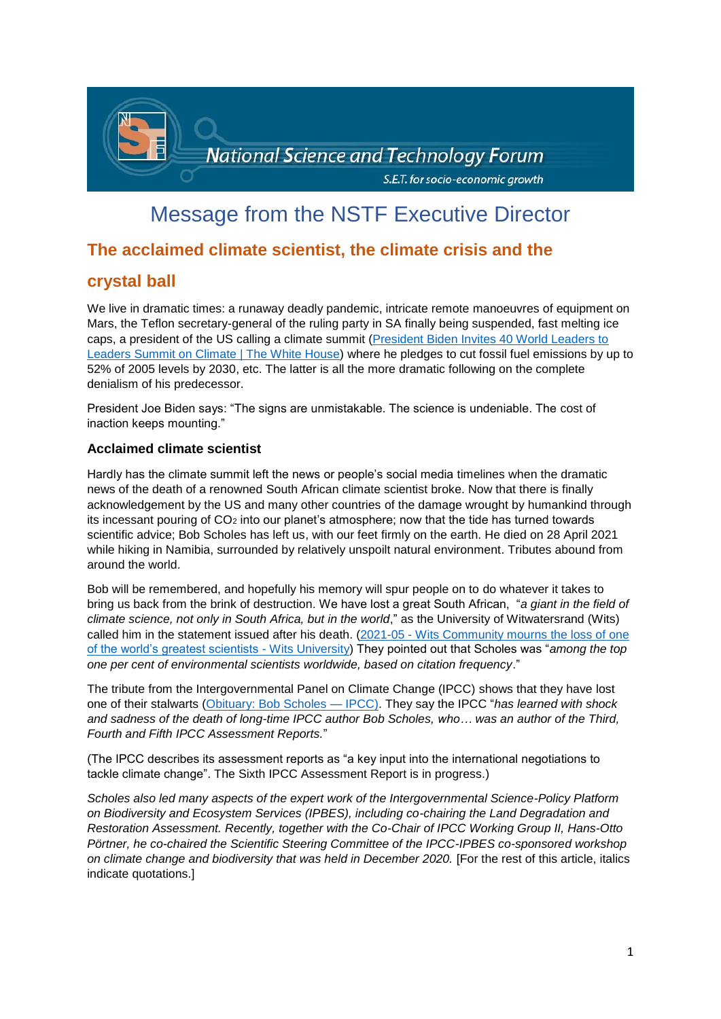

# Message from the NSTF Executive Director

# **The acclaimed climate scientist, the climate crisis and the**

# **crystal ball**

We live in dramatic times: a runaway deadly pandemic, intricate remote manoeuvres of equipment on Mars, the Teflon secretary-general of the ruling party in SA finally being suspended, fast melting ice caps, a president of the US calling a climate summit [\(President Biden Invites 40 World Leaders to](https://www.whitehouse.gov/briefing-room/statements-releases/2021/03/26/president-biden-invites-40-world-leaders-to-leaders-summit-on-climate/)  [Leaders Summit on Climate | The White House\)](https://www.whitehouse.gov/briefing-room/statements-releases/2021/03/26/president-biden-invites-40-world-leaders-to-leaders-summit-on-climate/) where he pledges to cut fossil fuel emissions by up to 52% of 2005 levels by 2030, etc. The latter is all the more dramatic following on the complete denialism of his predecessor.

President Joe Biden says: "The signs are unmistakable. The science is undeniable. The cost of inaction keeps mounting."

# **Acclaimed climate scientist**

Hardly has the climate summit left the news or people's social media timelines when the dramatic news of the death of a renowned South African climate scientist broke. Now that there is finally acknowledgement by the US and many other countries of the damage wrought by humankind through its incessant pouring of  $CO<sub>2</sub>$  into our planet's atmosphere; now that the tide has turned towards scientific advice; Bob Scholes has left us, with our feet firmly on the earth. He died on 28 April 2021 while hiking in Namibia, surrounded by relatively unspoilt natural environment. Tributes abound from around the world.

Bob will be remembered, and hopefully his memory will spur people on to do whatever it takes to bring us back from the brink of destruction. We have lost a great South African, "*a giant in the field of climate science, not only in South Africa, but in the world*," as the University of Witwatersrand (Wits) called him in the statement issued after his death. (2021-05 - [Wits Community mourns the loss of one](https://www.wits.ac.za/news/latest-news/general-news/2021/2021-05/wits-community-mourns-the-loss-of-one-of-the-worlds-greatest-scientists.html)  [of the world's greatest scientists -](https://www.wits.ac.za/news/latest-news/general-news/2021/2021-05/wits-community-mourns-the-loss-of-one-of-the-worlds-greatest-scientists.html) Wits University) They pointed out that Scholes was "*among the top one per cent of environmental scientists worldwide, based on citation frequency*."

The tribute from the Intergovernmental Panel on Climate Change (IPCC) shows that they have lost one of their stalwarts [\(Obituary: Bob Scholes —](https://www.ipcc.ch/2021/05/03/obituary-bob-scholes/) IPCC). They say the IPCC "*has learned with shock and sadness of the death of long-time IPCC author Bob Scholes, who… was an author of the Third, Fourth and Fifth IPCC Assessment Reports.*"

(The IPCC describes its assessment reports as "a key input into the international negotiations to tackle climate change". The Sixth IPCC Assessment Report is in progress.)

*Scholes also led many aspects of the expert work of the Intergovernmental Science-Policy Platform on Biodiversity and Ecosystem Services (IPBES), including co-chairing the Land Degradation and Restoration Assessment. Recently, together with the Co-Chair of IPCC Working Group II, Hans-Otto Pörtner, he co-chaired the Scientific Steering Committee of the IPCC-IPBES co-sponsored workshop on climate change and biodiversity that was held in December 2020.* [For the rest of this article, italics indicate quotations.]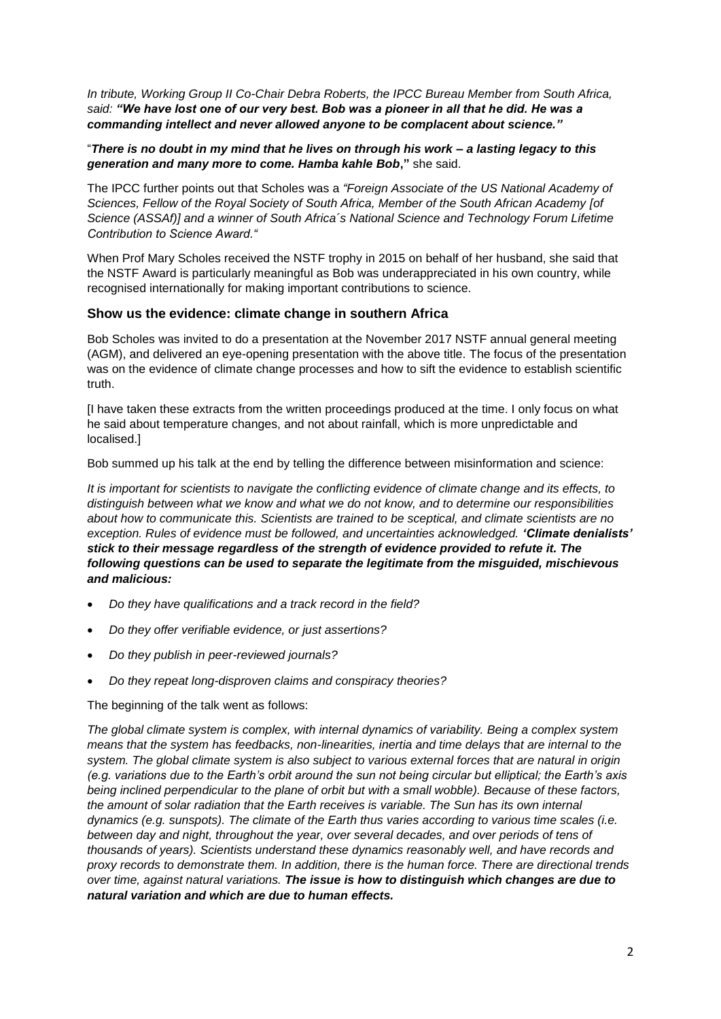*In tribute, Working Group II Co-Chair Debra Roberts, the IPCC Bureau Member from South Africa, said: "We have lost one of our very best. Bob was a pioneer in all that he did. He was a commanding intellect and never allowed anyone to be complacent about science."*

"*There is no doubt in my mind that he lives on through his work – a lasting legacy to this generation and many more to come. Hamba kahle Bob***,"** she said.

The IPCC further points out that Scholes was a *"Foreign Associate of the US National Academy of Sciences, Fellow of the Royal Society of South Africa, Member of the South African Academy [of Science (ASSAf)] and a winner of South Africa´s National Science and Technology Forum Lifetime Contribution to Science Award."*

When Prof Mary Scholes received the NSTF trophy in 2015 on behalf of her husband, she said that the NSTF Award is particularly meaningful as Bob was underappreciated in his own country, while recognised internationally for making important contributions to science.

## **Show us the evidence: climate change in southern Africa**

Bob Scholes was invited to do a presentation at the November 2017 NSTF annual general meeting (AGM), and delivered an eye-opening presentation with the above title. The focus of the presentation was on the evidence of climate change processes and how to sift the evidence to establish scientific truth.

[I have taken these extracts from the written proceedings produced at the time. I only focus on what he said about temperature changes, and not about rainfall, which is more unpredictable and localised.]

Bob summed up his talk at the end by telling the difference between misinformation and science:

*It is important for scientists to navigate the conflicting evidence of climate change and its effects, to distinguish between what we know and what we do not know, and to determine our responsibilities about how to communicate this. Scientists are trained to be sceptical, and climate scientists are no exception. Rules of evidence must be followed, and uncertainties acknowledged. 'Climate denialists' stick to their message regardless of the strength of evidence provided to refute it. The following questions can be used to separate the legitimate from the misguided, mischievous and malicious:*

- *Do they have qualifications and a track record in the field?*
- *Do they offer verifiable evidence, or just assertions?*
- *Do they publish in peer-reviewed journals?*
- *Do they repeat long-disproven claims and conspiracy theories?*

The beginning of the talk went as follows:

*The global climate system is complex, with internal dynamics of variability. Being a complex system means that the system has feedbacks, non-linearities, inertia and time delays that are internal to the system. The global climate system is also subject to various external forces that are natural in origin (e.g. variations due to the Earth's orbit around the sun not being circular but elliptical; the Earth's axis being inclined perpendicular to the plane of orbit but with a small wobble). Because of these factors, the amount of solar radiation that the Earth receives is variable. The Sun has its own internal dynamics (e.g. sunspots). The climate of the Earth thus varies according to various time scales (i.e. between day and night, throughout the year, over several decades, and over periods of tens of thousands of years). Scientists understand these dynamics reasonably well, and have records and proxy records to demonstrate them. In addition, there is the human force. There are directional trends over time, against natural variations. The issue is how to distinguish which changes are due to natural variation and which are due to human effects.*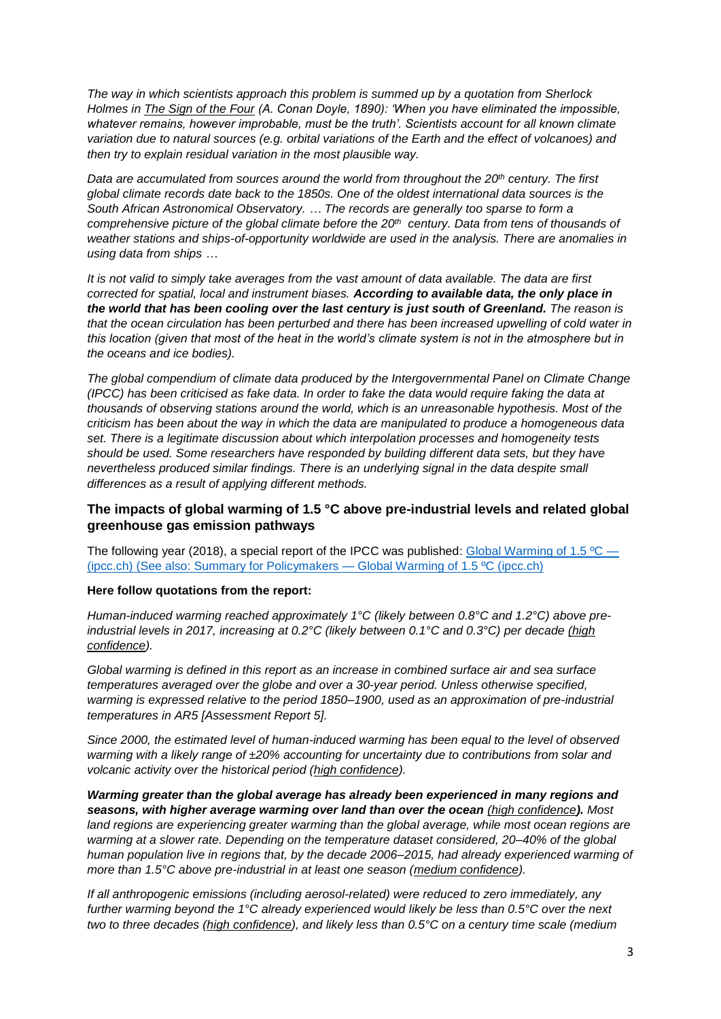*The way in which scientists approach this problem is summed up by a quotation from Sherlock Holmes in The Sign of the Four (A. Conan Doyle, 1890): 'When you have eliminated the impossible, whatever remains, however improbable, must be the truth'. Scientists account for all known climate variation due to natural sources (e.g. orbital variations of the Earth and the effect of volcanoes) and then try to explain residual variation in the most plausible way.*

*Data are accumulated from sources around the world from throughout the 20th century. The first global climate records date back to the 1850s. One of the oldest international data sources is the South African Astronomical Observatory. … The records are generally too sparse to form a comprehensive picture of the global climate before the 20th century. Data from tens of thousands of weather stations and ships-of-opportunity worldwide are used in the analysis. There are anomalies in using data from ships …*

*It is not valid to simply take averages from the vast amount of data available. The data are first corrected for spatial, local and instrument biases. According to available data, the only place in the world that has been cooling over the last century is just south of Greenland. The reason is that the ocean circulation has been perturbed and there has been increased upwelling of cold water in this location (given that most of the heat in the world's climate system is not in the atmosphere but in the oceans and ice bodies).* 

*The global compendium of climate data produced by the Intergovernmental Panel on Climate Change (IPCC) has been criticised as fake data. In order to fake the data would require faking the data at thousands of observing stations around the world, which is an unreasonable hypothesis. Most of the criticism has been about the way in which the data are manipulated to produce a homogeneous data set. There is a legitimate discussion about which interpolation processes and homogeneity tests should be used. Some researchers have responded by building different data sets, but they have nevertheless produced similar findings. There is an underlying signal in the data despite small differences as a result of applying different methods.*

# **The impacts of global warming of 1.5 °C above pre-industrial levels and related global greenhouse gas emission pathways**

The following year (2018), a special report of the IPCC was published: Global Warming of 1.5 °C — [\(ipcc.ch\)](https://www.ipcc.ch/sr15/) (See also: Summary for Policymakers — [Global Warming of 1.5 ºC \(ipcc.ch\)](https://www.ipcc.ch/sr15/chapter/spm/)

#### **Here follow quotations from the report:**

*Human-induced warming reached approximately 1°C (likely between 0.8°C and 1.2°C) above preindustrial levels in 2017, increasing at 0.2°C (likely between 0.1°C and 0.3°C) per decade (high confidence).*

*Global warming is defined in this report as an increase in combined surface air and sea surface temperatures averaged over the globe and over a 30-year period. Unless otherwise specified, warming is expressed relative to the period 1850–1900, used as an approximation of pre-industrial temperatures in AR5 [Assessment Report 5].* 

*Since 2000, the estimated level of human-induced warming has been equal to the level of observed warming with a likely range of ±20% accounting for uncertainty due to contributions from solar and volcanic activity over the historical period (high confidence).*

*Warming greater than the global average has already been experienced in many regions and seasons, with higher average warming over land than over the ocean (high confidence). Most land regions are experiencing greater warming than the global average, while most ocean regions are warming at a slower rate. Depending on the temperature dataset considered, 20–40% of the global human population live in regions that, by the decade 2006–2015, had already experienced warming of more than 1.5°C above pre-industrial in at least one season (medium confidence).*

*If all anthropogenic emissions (including aerosol-related) were reduced to zero immediately, any further warming beyond the 1°C already experienced would likely be less than 0.5°C over the next two to three decades (high confidence), and likely less than 0.5°C on a century time scale (medium*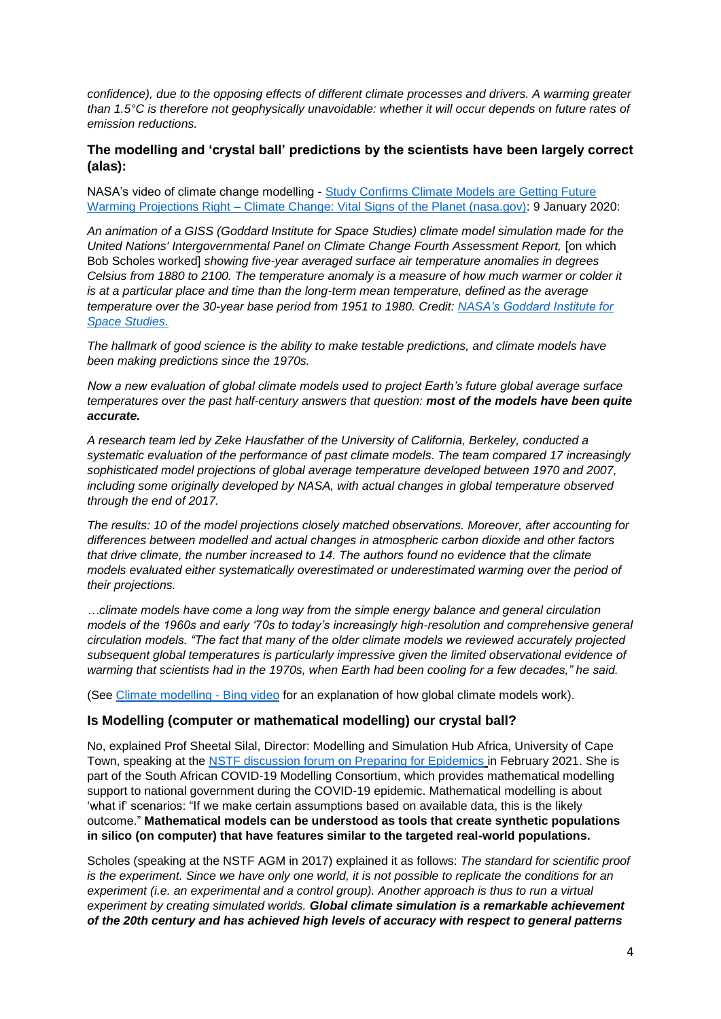*confidence), due to the opposing effects of different climate processes and drivers. A warming greater than 1.5°C is therefore not geophysically unavoidable: whether it will occur depends on future rates of emission reductions.* 

# **The modelling and 'crystal ball' predictions by the scientists have been largely correct (alas):**

NASA's video of climate change modelling - Study Confirms Climate Models are Getting Future Warming Projections Right – [Climate Change: Vital Signs of the Planet \(nasa.gov\):](https://climate.nasa.gov/news/2943/study-confirms-climate-models-are-getting-future-warming-projections-right/) 9 January 2020:

*An animation of a GISS (Goddard Institute for Space Studies) climate model simulation made for the United Nations' Intergovernmental Panel on Climate Change Fourth Assessment Report,* [on which Bob Scholes worked] *showing five-year averaged surface air temperature anomalies in degrees Celsius from 1880 to 2100. The temperature anomaly is a measure of how much warmer or colder it is at a particular place and time than the long-term mean temperature, defined as the average temperature over the 30-year base period from 1951 to 1980. Credit: [NASA's Goddard Institute for](https://data.giss.nasa.gov/modelE/sc07/)  [Space Studies.](https://data.giss.nasa.gov/modelE/sc07/)*

*The hallmark of good science is the ability to make testable predictions, and climate models have been making predictions since the 1970s.*

*Now a new evaluation of global climate models used to project Earth's future global average surface temperatures over the past half-century answers that question: most of the models have been quite accurate.*

*A research team led by Zeke Hausfather of the University of California, Berkeley, conducted a systematic evaluation of the performance of past climate models. The team compared 17 increasingly sophisticated model projections of global average temperature developed between 1970 and 2007, including some originally developed by NASA, with actual changes in global temperature observed through the end of 2017.* 

*The results: 10 of the model projections closely matched observations. Moreover, after accounting for differences between modelled and actual changes in atmospheric carbon dioxide and other factors that drive climate, the number increased to 14. The authors found no evidence that the climate models evaluated either systematically overestimated or underestimated warming over the period of their projections.*

*…climate models have come a long way from the simple energy balance and general circulation models of the 1960s and early '70s to today's increasingly high-resolution and comprehensive general circulation models. "The fact that many of the older climate models we reviewed accurately projected subsequent global temperatures is particularly impressive given the limited observational evidence of warming that scientists had in the 1970s, when Earth had been cooling for a few decades," he said.*

(See [Climate modelling -](https://www.bing.com/videos/search?q=computer+simulations+of+climate+change&docid=608009623642785899&mid=B10CA5258C9D9B327038B10CA5258C9D9B327038&view=detail&FORM=VIRE) Bing video for an explanation of how global climate models work).

## **Is Modelling (computer or mathematical modelling) our crystal ball?**

No, explained Prof Sheetal Silal, Director: Modelling and Simulation Hub Africa, University of Cape Town, speaking at the [NSTF discussion forum on Preparing for Epidemics](http://www.nstf.org.za/discussion-forum/outbreaks/) in February 2021. She is part of the South African COVID-19 Modelling Consortium, which provides mathematical modelling support to national government during the COVID-19 epidemic. Mathematical modelling is about 'what if' scenarios: "If we make certain assumptions based on available data, this is the likely outcome." **Mathematical models can be understood as tools that create synthetic populations in silico (on computer) that have features similar to the targeted real-world populations.**

Scholes (speaking at the NSTF AGM in 2017) explained it as follows: *The standard for scientific proof is the experiment. Since we have only one world, it is not possible to replicate the conditions for an experiment (i.e. an experimental and a control group). Another approach is thus to run a virtual experiment by creating simulated worlds. Global climate simulation is a remarkable achievement of the 20th century and has achieved high levels of accuracy with respect to general patterns*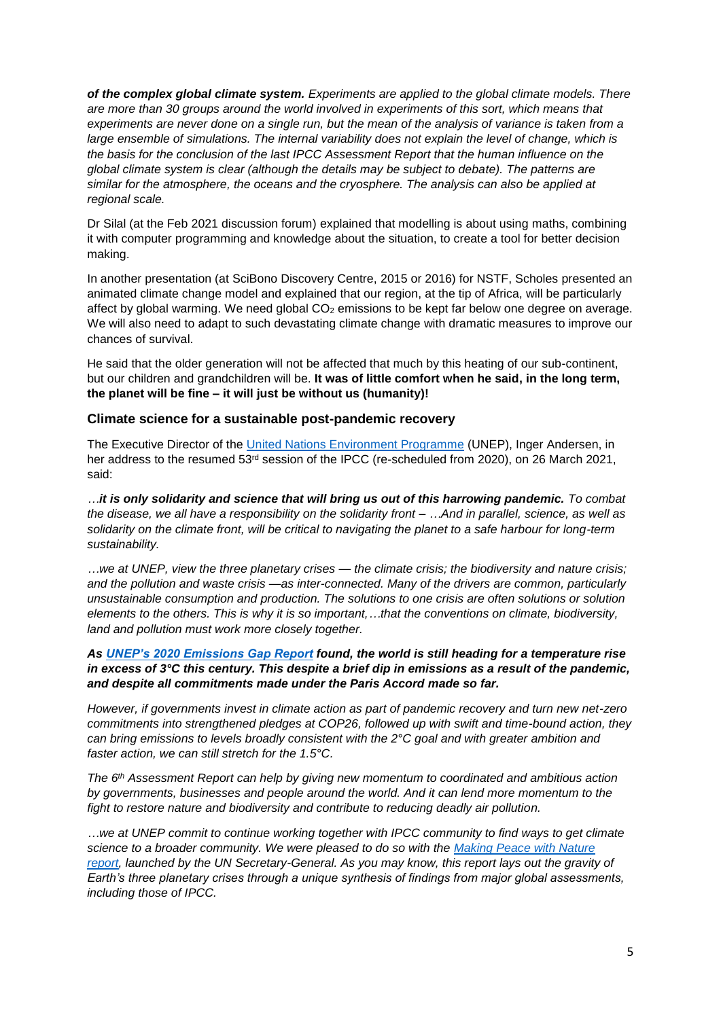*of the complex global climate system. Experiments are applied to the global climate models. There are more than 30 groups around the world involved in experiments of this sort, which means that experiments are never done on a single run, but the mean of the analysis of variance is taken from a*  large ensemble of simulations. The internal variability does not explain the level of change, which is *the basis for the conclusion of the last IPCC Assessment Report that the human influence on the global climate system is clear (although the details may be subject to debate). The patterns are similar for the atmosphere, the oceans and the cryosphere. The analysis can also be applied at regional scale.*

Dr Silal (at the Feb 2021 discussion forum) explained that modelling is about using maths, combining it with computer programming and knowledge about the situation, to create a tool for better decision making.

In another presentation (at SciBono Discovery Centre, 2015 or 2016) for NSTF, Scholes presented an animated climate change model and explained that our region, at the tip of Africa, will be particularly affect by global warming. We need global CO<sub>2</sub> emissions to be kept far below one degree on average. We will also need to adapt to such devastating climate change with dramatic measures to improve our chances of survival.

He said that the older generation will not be affected that much by this heating of our sub-continent, but our children and grandchildren will be. **It was of little comfort when he said, in the long term, the planet will be fine – it will just be without us (humanity)!**

#### **Climate science for a sustainable post-pandemic recovery**

The Executive Director of the [United Nations Environment Programme](https://www.unep.org/) (UNEP), Inger Andersen, in her address to the resumed 53<sup>rd</sup> session of the IPCC (re-scheduled from 2020), on 26 March 2021, said:

*…it is only solidarity and science that will bring us out of this harrowing pandemic. To combat the disease, we all have a responsibility on the solidarity front – …And in parallel, science, as well as solidarity on the climate front, will be critical to navigating the planet to a safe harbour for long-term sustainability.*

*…we at UNEP, view the three planetary crises — the climate crisis; the biodiversity and nature crisis; and the pollution and waste crisis —as inter-connected. Many of the drivers are common, particularly unsustainable consumption and production. The solutions to one crisis are often solutions or solution elements to the others. This is why it is so important,…that the conventions on climate, biodiversity, land and pollution must work more closely together.*

#### *As [UNEP's 2020 Emissions Gap Report](https://www.unep.org/emissions-gap-report-2020) found, the world is still heading for a temperature rise in excess of 3°C this century. This despite a brief dip in emissions as a result of the pandemic, and despite all commitments made under the Paris Accord made so far.*

*However, if governments invest in climate action as part of pandemic recovery and turn new net-zero commitments into strengthened pledges at COP26, followed up with swift and time-bound action, they can bring emissions to levels broadly consistent with the 2°C goal and with greater ambition and faster action, we can still stretch for the 1.5°C.*

*The 6th Assessment Report can help by giving new momentum to coordinated and ambitious action by governments, businesses and people around the world. And it can lend more momentum to the fight to restore nature and biodiversity and contribute to reducing deadly air pollution.*

*…we at UNEP commit to continue working together with IPCC community to find ways to get climate science to a broader community. We were pleased to do so with the [Making Peace with Nature](https://www.unep.org/resources/making-peace-nature) [report,](https://www.unep.org/resources/making-peace-nature) launched by the UN Secretary-General. As you may know, this report lays out the gravity of Earth's three planetary crises through a unique synthesis of findings from major global assessments, including those of IPCC.*